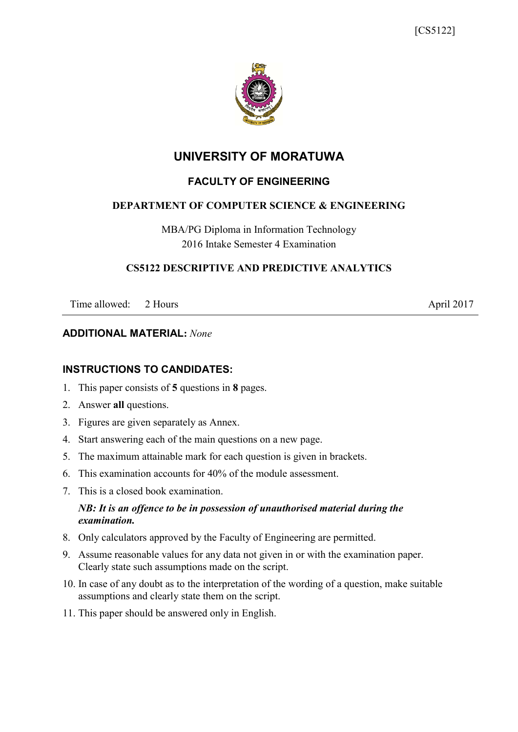

# **UNIVERSITY OF MORATUWA**

# **FACULTY OF ENGINEERING**

### **DEPARTMENT OF COMPUTER SCIENCE & ENGINEERING**

MBA/PG Diploma in Information Technology 2016 Intake Semester 4 Examination

#### **CS5122 DESCRIPTIVE AND PREDICTIVE ANALYTICS**

Time allowed: 2 Hours April 2017

#### **ADDITIONAL MATERIAL:** *None*

## **INSTRUCTIONS TO CANDIDATES:**

- 1. This paper consists of **5** questions in **8** pages.
- 2. Answer **all** questions.
- 3. Figures are given separately as Annex.
- 4. Start answering each of the main questions on a new page.
- 5. The maximum attainable mark for each question is given in brackets.
- 6. This examination accounts for 40% of the module assessment.
- 7. This is a closed book examination.

### *NB: It is an offence to be in possession of unauthorised material during the examination.*

- 8. Only calculators approved by the Faculty of Engineering are permitted.
- 9. Assume reasonable values for any data not given in or with the examination paper. Clearly state such assumptions made on the script.
- 10. In case of any doubt as to the interpretation of the wording of a question, make suitable assumptions and clearly state them on the script.
- 11. This paper should be answered only in English.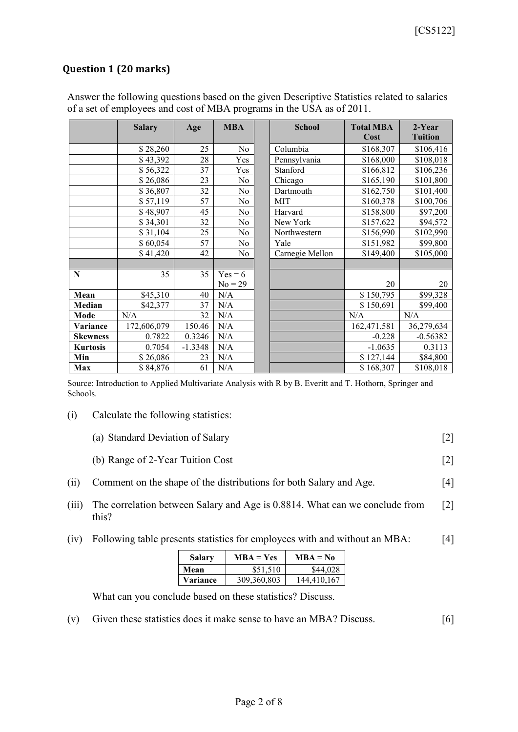# **Question 1 (20 marks)**

|                 | <b>Salary</b> | Age       | <b>MBA</b>             | <b>School</b>   | <b>Total MBA</b><br>Cost | $2-Year$<br><b>Tuition</b> |
|-----------------|---------------|-----------|------------------------|-----------------|--------------------------|----------------------------|
|                 | \$28,260      | 25        | N <sub>o</sub>         | Columbia        | \$168,307                | \$106,416                  |
|                 | \$43,392      | 28        | Yes                    | Pennsylvania    | \$168,000                | \$108,018                  |
|                 | \$56,322      | 37        | Yes                    | Stanford        | \$166,812                | \$106,236                  |
|                 | \$26,086      | 23        | No                     | Chicago         | \$165,190                | \$101,800                  |
|                 | \$36,807      | 32        | No                     | Dartmouth       | \$162,750                | \$101,400                  |
|                 | \$57,119      | 57        | No                     | MIT             | \$160,378                | \$100,706                  |
|                 | \$48,907      | 45        | No                     | Harvard         | \$158,800                | \$97,200                   |
|                 | \$34,301      | 32        | No                     | New York        | \$157,622                | \$94,572                   |
|                 | \$31,104      | 25        | No                     | Northwestern    | \$156,990                | \$102,990                  |
|                 | \$60,054      | 57        | No                     | Yale            | \$151,982                | \$99,800                   |
|                 | \$41,420      | 42        | No                     | Carnegie Mellon | \$149,400                | \$105,000                  |
|                 |               |           |                        |                 |                          |                            |
| N               | 35            | 35        | $Yes = 6$<br>$No = 29$ |                 | 20                       | 20                         |
| Mean            | \$45,310      | 40        | N/A                    |                 | \$150,795                | \$99,328                   |
| Median          | \$42,377      | 37        | N/A                    |                 | \$150,691                | \$99,400                   |
| Mode            | N/A           | 32        | N/A                    |                 | N/A                      | N/A                        |
| Variance        | 172,606,079   | 150.46    | N/A                    |                 | 162,471,581              | 36,279,634                 |
| <b>Skewness</b> | 0.7822        | 0.3246    | N/A                    |                 | $-0.228$                 | $-0.56382$                 |
| <b>Kurtosis</b> | 0.7054        | $-1.3348$ | N/A                    |                 | $-1.0635$                | 0.3113                     |
| Min             | \$26,086      | 23        | N/A                    |                 | \$127,144                | \$84,800                   |
| Max             | \$84,876      | 61        | N/A                    |                 | \$168,307                | \$108,018                  |

Answer the following questions based on the given Descriptive Statistics related to salaries of a set of employees and cost of MBA programs in the USA as of 2011.

Source: Introduction to Applied Multivariate Analysis with R by B. Everitt and T. Hothorn, Springer and Schools.

(i) Calculate the following statistics:

| (a) Standard Deviation of Salary |  |
|----------------------------------|--|
|----------------------------------|--|

- (b) Range of 2-Year Tuition Cost [2]
- (ii) Comment on the shape of the distributions for both Salary and Age. [4]
- (iii) The correlation between Salary and Age is 0.8814. What can we conclude from this? [2]
- (iv) Following table presents statistics for employees with and without an MBA: [4]

| <b>Salary</b> | $MBA = Yes$ | $MBA = No$  |
|---------------|-------------|-------------|
| Mean          | \$51,510    | \$44,028    |
| Variance      | 309,360,803 | 144,410,167 |

What can you conclude based on these statistics? Discuss.

(v) Given these statistics does it make sense to have an MBA? Discuss. [6]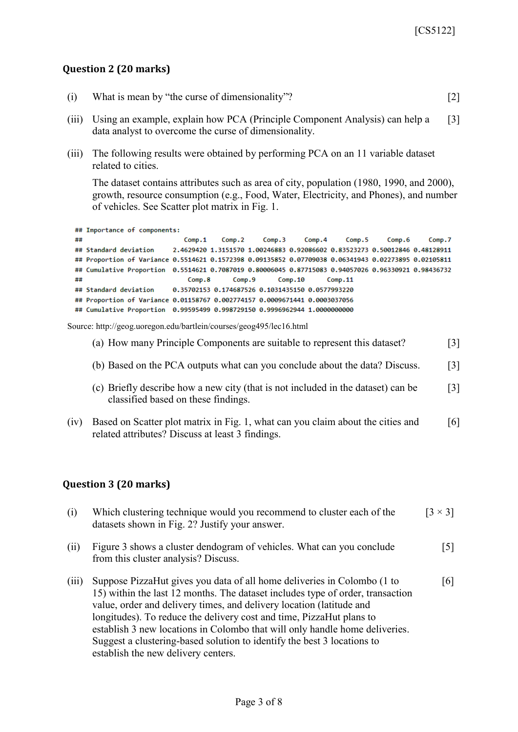## **Question 2 (20 marks)**

|  | (i) What is mean by "the curse of dimensionality"? |  |  |
|--|----------------------------------------------------|--|--|
|--|----------------------------------------------------|--|--|

- (iii) Using an example, explain how PCA (Principle Component Analysis) can help a data analyst to overcome the curse of dimensionality. [3]
- (iii) The following results were obtained by performing PCA on an 11 variable dataset related to cities.

The dataset contains attributes such as area of city, population (1980, 1990, and 2000), growth, resource consumption (e.g., Food, Water, Electricity, and Phones), and number of vehicles. See Scatter plot matrix in Fig. 1.

```
## Importance of components:
##
                                          Comp.3Comp.1Comp.2
                                                    Comp.4
                                                             Comp.5
                                                                       Comp.6
                                                                                Comp.7
## Standard deviation
                      2.4629420 1.3151570 1.00246883 0.92086602 0.83523273 0.50012846 0.48128911
## Proportion of Variance 0.5514621 0.1572398 0.09135852 0.07709038 0.06341943 0.02273895 0.02105811
## Cumulative Proportion 0.5514621 0.7087019 0.80006045 0.87715083 0.94057026 0.96330921 0.98436732
##
                         Comp.8 Comp.9
                                             Comp.10
                                                         Comp.11## Standard deviation
                     0.35702153 0.174687526 0.1031435150 0.0577993220
## Proportion of Variance 0.01158767 0.002774157 0.0009671441 0.0003037056
```
Source: http://geog.uoregon.edu/bartlein/courses/geog495/lec16.html

|  |  | (a) How many Principle Components are suitable to represent this dataset? | $\lceil 3 \rceil$ |
|--|--|---------------------------------------------------------------------------|-------------------|
|  |  |                                                                           |                   |

- (b) Based on the PCA outputs what can you conclude about the data? Discuss. [3]
- (c) Briefly describe how a new city (that is not included in the dataset) can be classified based on these findings. [3]
- (iv) Based on Scatter plot matrix in Fig. 1, what can you claim about the cities and related attributes? Discuss at least 3 findings. [6]

#### **Question 3 (20 marks)**

| (i)   | Which clustering technique would you recommend to cluster each of the<br>datasets shown in Fig. 2? Justify your answer.                                                                                                                                                                                                                                                                                                                                                                                    | $\left[3\times3\right]$ |
|-------|------------------------------------------------------------------------------------------------------------------------------------------------------------------------------------------------------------------------------------------------------------------------------------------------------------------------------------------------------------------------------------------------------------------------------------------------------------------------------------------------------------|-------------------------|
| (ii)  | Figure 3 shows a cluster dendogram of vehicles. What can you conclude<br>from this cluster analysis? Discuss.                                                                                                                                                                                                                                                                                                                                                                                              | $[5]$                   |
| (iii) | Suppose PizzaHut gives you data of all home deliveries in Colombo (1 to<br>15) within the last 12 months. The dataset includes type of order, transaction<br>value, order and delivery times, and delivery location (latitude and<br>longitudes). To reduce the delivery cost and time, PizzaHut plans to<br>establish 3 new locations in Colombo that will only handle home deliveries.<br>Suggest a clustering-based solution to identify the best 3 locations to<br>establish the new delivery centers. | [6]                     |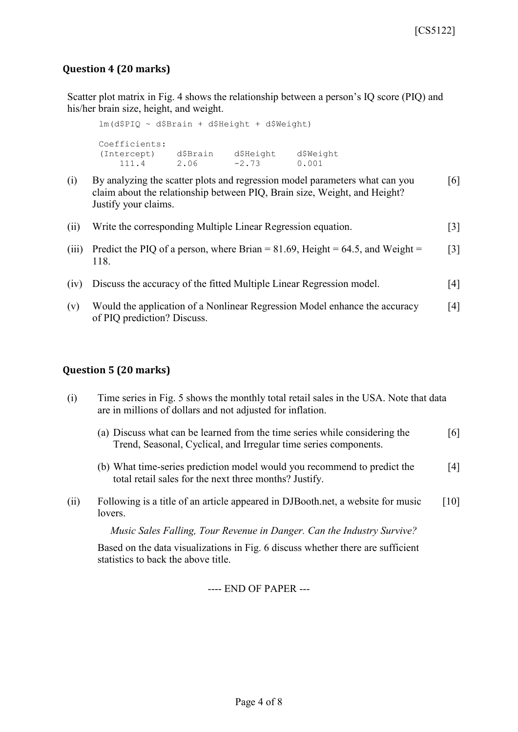## **Question 4 (20 marks)**

Scatter plot matrix in Fig. 4 shows the relationship between a person's IQ score (PIQ) and his/her brain size, height, and weight.

lm(d\$PIQ ~ d\$Brain + d\$Height + d\$Weight) Coefficients: (Intercept) d\$Brain d\$Height d\$Weight 111.4 2.06 -2.73 0.001

- (i) By analyzing the scatter plots and regression model parameters what can you claim about the relationship between PIQ, Brain size, Weight, and Height? Justify your claims. [6]
- (ii) Write the corresponding Multiple Linear Regression equation. [3]
- (iii) Predict the PIQ of a person, where Brian  $= 81.69$ , Height  $= 64.5$ , and Weight  $=$ 118. [3]
- (iv) Discuss the accuracy of the fitted Multiple Linear Regression model. [4]
- (v) Would the application of a Nonlinear Regression Model enhance the accuracy of PIQ prediction? Discuss. [4]

#### **Question 5 (20 marks)**

- (i) Time series in Fig. 5 shows the monthly total retail sales in the USA. Note that data are in millions of dollars and not adjusted for inflation.
	- (a) Discuss what can be learned from the time series while considering the Trend, Seasonal, Cyclical, and Irregular time series components. [6]
	- (b) What time-series prediction model would you recommend to predict the total retail sales for the next three months? Justify. [4]
- (ii) Following is a title of an article appeared in DJBooth.net, a website for music lovers. [10]

*Music Sales Falling, Tour Revenue in Danger. Can the Industry Survive?*

Based on the data visualizations in Fig. 6 discuss whether there are sufficient statistics to back the above title.

---- END OF PAPER ---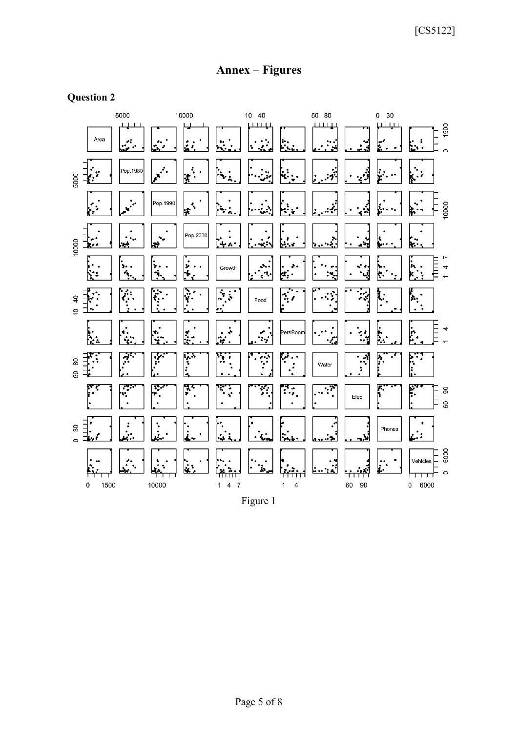# **Annex – Figures**

## **Question 2**



Figure 1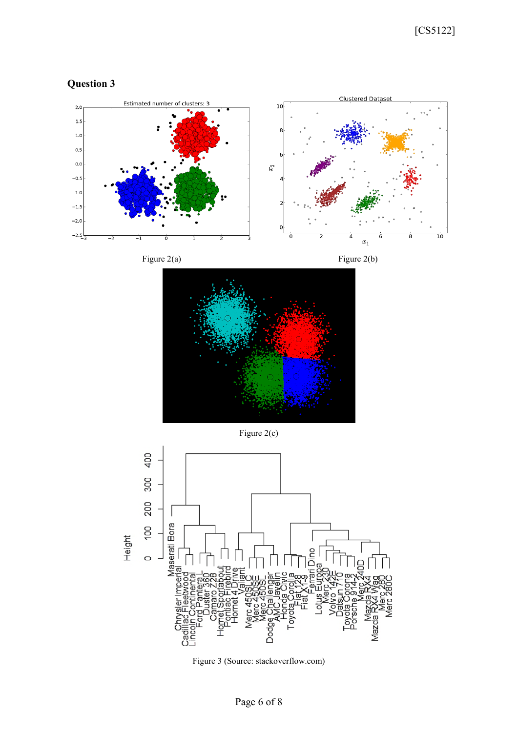









Figure 2(c)



Figure 3 (Source: stackoverflow.com)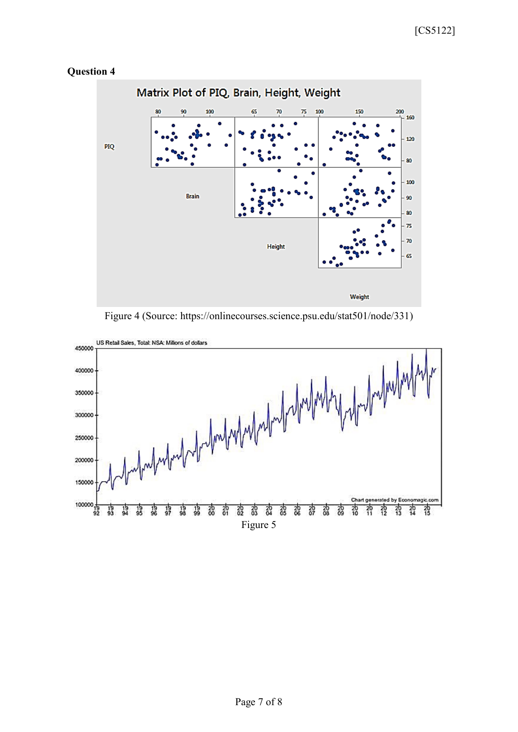

### **Question 4**